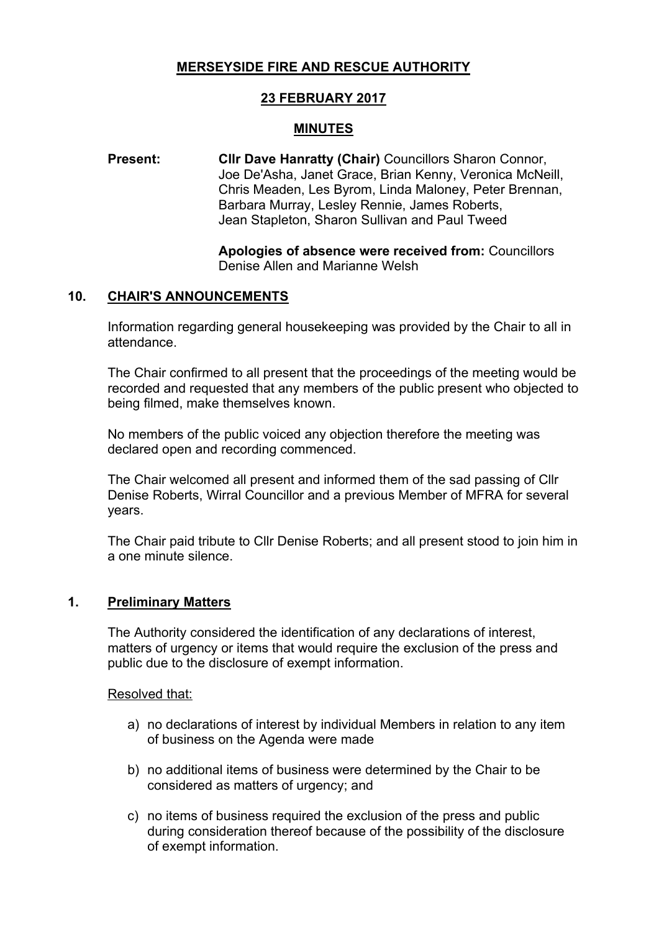# **MERSEYSIDE FIRE AND RESCUE AUTHORITY**

# **23 FEBRUARY 2017**

### **MINUTES**

#### **Present: Cllr Dave Hanratty (Chair)** Councillors Sharon Connor, Joe De'Asha, Janet Grace, Brian Kenny, Veronica McNeill, Chris Meaden, Les Byrom, Linda Maloney, Peter Brennan, Barbara Murray, Lesley Rennie, James Roberts, Jean Stapleton, Sharon Sullivan and Paul Tweed

**Apologies of absence were received from:** Councillors Denise Allen and Marianne Welsh

#### **10. CHAIR'S ANNOUNCEMENTS**

Information regarding general housekeeping was provided by the Chair to all in attendance.

The Chair confirmed to all present that the proceedings of the meeting would be recorded and requested that any members of the public present who objected to being filmed, make themselves known.

No members of the public voiced any objection therefore the meeting was declared open and recording commenced.

The Chair welcomed all present and informed them of the sad passing of Cllr Denise Roberts, Wirral Councillor and a previous Member of MFRA for several years.

The Chair paid tribute to Cllr Denise Roberts; and all present stood to join him in a one minute silence.

### **1. Preliminary Matters**

The Authority considered the identification of any declarations of interest, matters of urgency or items that would require the exclusion of the press and public due to the disclosure of exempt information.

Resolved that:

- a) no declarations of interest by individual Members in relation to any item of business on the Agenda were made
- b) no additional items of business were determined by the Chair to be considered as matters of urgency; and
- c) no items of business required the exclusion of the press and public during consideration thereof because of the possibility of the disclosure of exempt information.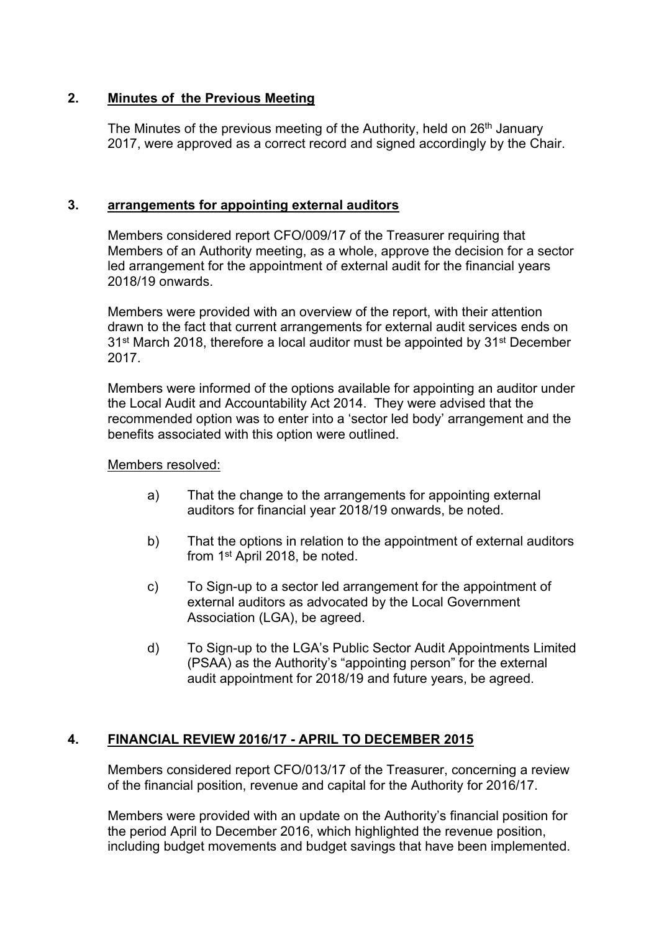# **2. Minutes of the Previous Meeting**

The Minutes of the previous meeting of the Authority, held on 26<sup>th</sup> January 2017, were approved as a correct record and signed accordingly by the Chair.

#### **3. arrangements for appointing external auditors**

Members considered report CFO/009/17 of the Treasurer requiring that Members of an Authority meeting, as a whole, approve the decision for a sector led arrangement for the appointment of external audit for the financial years 2018/19 onwards.

Members were provided with an overview of the report, with their attention drawn to the fact that current arrangements for external audit services ends on 31<sup>st</sup> March 2018, therefore a local auditor must be appointed by 31<sup>st</sup> December 2017.

Members were informed of the options available for appointing an auditor under the Local Audit and Accountability Act 2014. They were advised that the recommended option was to enter into a 'sector led body' arrangement and the benefits associated with this option were outlined.

#### Members resolved:

- a) That the change to the arrangements for appointing external auditors for financial year 2018/19 onwards, be noted.
- b) That the options in relation to the appointment of external auditors from 1 st April 2018, be noted.
- c) To Sign-up to a sector led arrangement for the appointment of external auditors as advocated by the Local Government Association (LGA), be agreed.
- d) To Sign-up to the LGA's Public Sector Audit Appointments Limited (PSAA) as the Authority's "appointing person" for the external audit appointment for 2018/19 and future years, be agreed.

#### **4. FINANCIAL REVIEW 2016/17 - APRIL TO DECEMBER 2015**

Members considered report CFO/013/17 of the Treasurer, concerning a review of the financial position, revenue and capital for the Authority for 2016/17.

Members were provided with an update on the Authority's financial position for the period April to December 2016, which highlighted the revenue position, including budget movements and budget savings that have been implemented.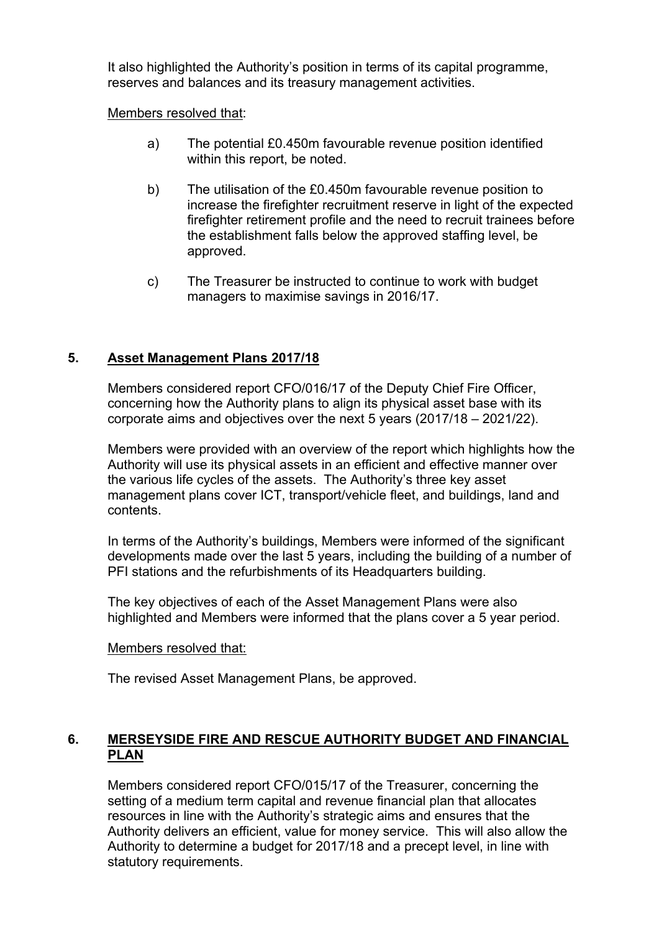It also highlighted the Authority's position in terms of its capital programme, reserves and balances and its treasury management activities.

Members resolved that:

- a) The potential £0.450m favourable revenue position identified within this report, be noted.
- b) The utilisation of the £0.450m favourable revenue position to increase the firefighter recruitment reserve in light of the expected firefighter retirement profile and the need to recruit trainees before the establishment falls below the approved staffing level, be approved.
- c) The Treasurer be instructed to continue to work with budget managers to maximise savings in 2016/17.

# **5. Asset Management Plans 2017/18**

Members considered report CFO/016/17 of the Deputy Chief Fire Officer, concerning how the Authority plans to align its physical asset base with its corporate aims and objectives over the next 5 years (2017/18 – 2021/22).

Members were provided with an overview of the report which highlights how the Authority will use its physical assets in an efficient and effective manner over the various life cycles of the assets. The Authority's three key asset management plans cover ICT, transport/vehicle fleet, and buildings, land and contents.

In terms of the Authority's buildings, Members were informed of the significant developments made over the last 5 years, including the building of a number of PFI stations and the refurbishments of its Headquarters building.

The key objectives of each of the Asset Management Plans were also highlighted and Members were informed that the plans cover a 5 year period.

#### Members resolved that:

The revised Asset Management Plans, be approved.

## **6. MERSEYSIDE FIRE AND RESCUE AUTHORITY BUDGET AND FINANCIAL PLAN**

Members considered report CFO/015/17 of the Treasurer, concerning the setting of a medium term capital and revenue financial plan that allocates resources in line with the Authority's strategic aims and ensures that the Authority delivers an efficient, value for money service. This will also allow the Authority to determine a budget for 2017/18 and a precept level, in line with statutory requirements.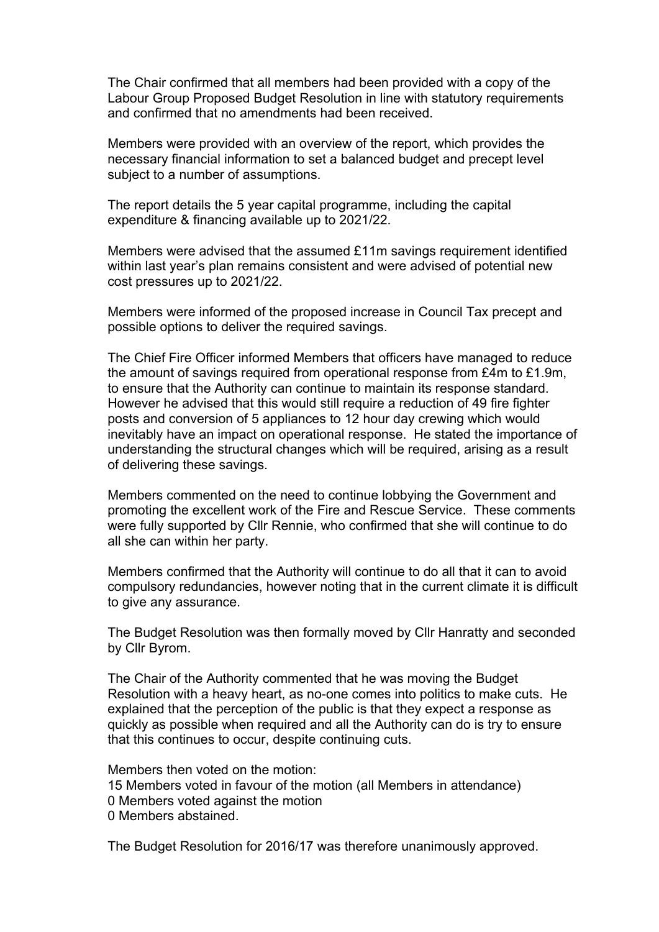The Chair confirmed that all members had been provided with a copy of the Labour Group Proposed Budget Resolution in line with statutory requirements and confirmed that no amendments had been received.

Members were provided with an overview of the report, which provides the necessary financial information to set a balanced budget and precept level subject to a number of assumptions.

The report details the 5 year capital programme, including the capital expenditure & financing available up to 2021/22.

Members were advised that the assumed £11m savings requirement identified within last year's plan remains consistent and were advised of potential new cost pressures up to 2021/22.

Members were informed of the proposed increase in Council Tax precept and possible options to deliver the required savings.

The Chief Fire Officer informed Members that officers have managed to reduce the amount of savings required from operational response from £4m to £1.9m, to ensure that the Authority can continue to maintain its response standard. However he advised that this would still require a reduction of 49 fire fighter posts and conversion of 5 appliances to 12 hour day crewing which would inevitably have an impact on operational response. He stated the importance of understanding the structural changes which will be required, arising as a result of delivering these savings.

Members commented on the need to continue lobbying the Government and promoting the excellent work of the Fire and Rescue Service. These comments were fully supported by Cllr Rennie, who confirmed that she will continue to do all she can within her party.

Members confirmed that the Authority will continue to do all that it can to avoid compulsory redundancies, however noting that in the current climate it is difficult to give any assurance.

The Budget Resolution was then formally moved by Cllr Hanratty and seconded by Cllr Byrom.

The Chair of the Authority commented that he was moving the Budget Resolution with a heavy heart, as no-one comes into politics to make cuts. He explained that the perception of the public is that they expect a response as quickly as possible when required and all the Authority can do is try to ensure that this continues to occur, despite continuing cuts.

Members then voted on the motion: Members voted in favour of the motion (all Members in attendance) Members voted against the motion Members abstained.

The Budget Resolution for 2016/17 was therefore unanimously approved.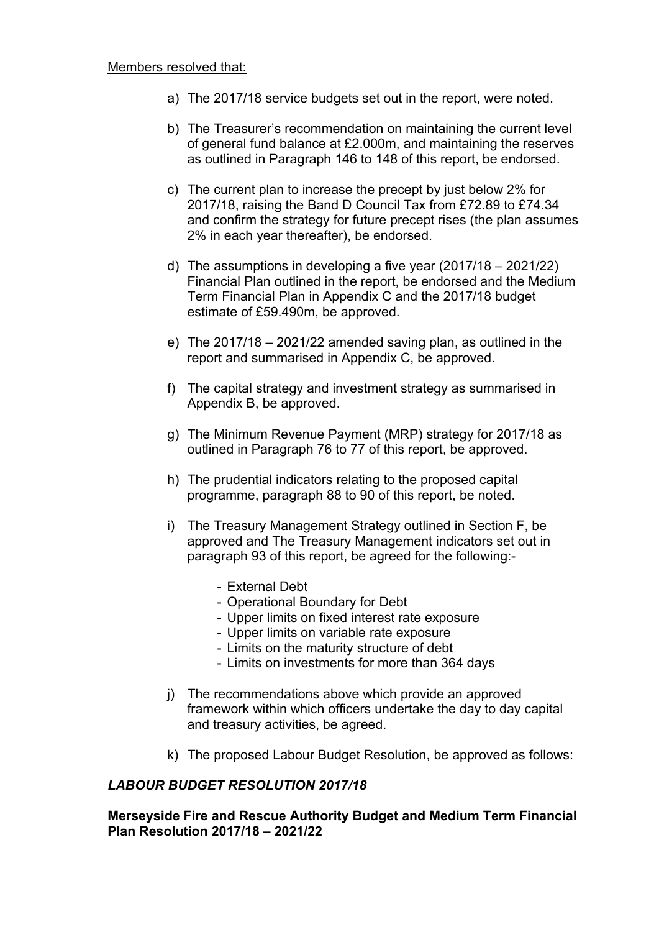- a) The 2017/18 service budgets set out in the report, were noted.
- b) The Treasurer's recommendation on maintaining the current level of general fund balance at £2.000m, and maintaining the reserves as outlined in Paragraph 146 to 148 of this report, be endorsed.
- c) The current plan to increase the precept by just below 2% for 2017/18, raising the Band D Council Tax from £72.89 to £74.34 and confirm the strategy for future precept rises (the plan assumes 2% in each year thereafter), be endorsed.
- d) The assumptions in developing a five year (2017/18 2021/22) Financial Plan outlined in the report, be endorsed and the Medium Term Financial Plan in Appendix C and the 2017/18 budget estimate of £59.490m, be approved.
- e) The 2017/18 2021/22 amended saving plan, as outlined in the report and summarised in Appendix C, be approved.
- f) The capital strategy and investment strategy as summarised in Appendix B, be approved.
- g) The Minimum Revenue Payment (MRP) strategy for 2017/18 as outlined in Paragraph 76 to 77 of this report, be approved.
- h) The prudential indicators relating to the proposed capital programme, paragraph 88 to 90 of this report, be noted.
- i) The Treasury Management Strategy outlined in Section F, be approved and The Treasury Management indicators set out in paragraph 93 of this report, be agreed for the following:-
	- External Debt
	- Operational Boundary for Debt
	- Upper limits on fixed interest rate exposure
	- Upper limits on variable rate exposure
	- Limits on the maturity structure of debt
	- Limits on investments for more than 364 days
- j) The recommendations above which provide an approved framework within which officers undertake the day to day capital and treasury activities, be agreed.
- k) The proposed Labour Budget Resolution, be approved as follows:

#### *LABOUR BUDGET RESOLUTION 2017/18*

#### **Merseyside Fire and Rescue Authority Budget and Medium Term Financial Plan Resolution 2017/18 – 2021/22**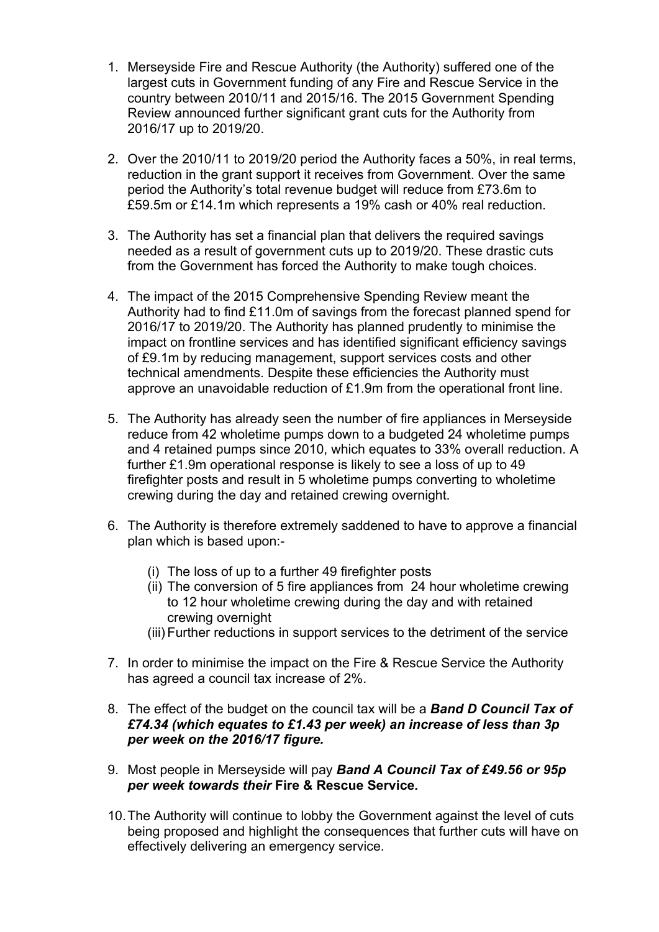- 1. Merseyside Fire and Rescue Authority (the Authority) suffered one of the largest cuts in Government funding of any Fire and Rescue Service in the country between 2010/11 and 2015/16. The 2015 Government Spending Review announced further significant grant cuts for the Authority from 2016/17 up to 2019/20.
- 2. Over the 2010/11 to 2019/20 period the Authority faces a 50%, in real terms, reduction in the grant support it receives from Government. Over the same period the Authority's total revenue budget will reduce from £73.6m to £59.5m or £14.1m which represents a 19% cash or 40% real reduction.
- 3. The Authority has set a financial plan that delivers the required savings needed as a result of government cuts up to 2019/20. These drastic cuts from the Government has forced the Authority to make tough choices.
- 4. The impact of the 2015 Comprehensive Spending Review meant the Authority had to find £11.0m of savings from the forecast planned spend for 2016/17 to 2019/20. The Authority has planned prudently to minimise the impact on frontline services and has identified significant efficiency savings of £9.1m by reducing management, support services costs and other technical amendments. Despite these efficiencies the Authority must approve an unavoidable reduction of £1.9m from the operational front line.
- 5. The Authority has already seen the number of fire appliances in Merseyside reduce from 42 wholetime pumps down to a budgeted 24 wholetime pumps and 4 retained pumps since 2010, which equates to 33% overall reduction. A further £1.9m operational response is likely to see a loss of up to 49 firefighter posts and result in 5 wholetime pumps converting to wholetime crewing during the day and retained crewing overnight.
- 6. The Authority is therefore extremely saddened to have to approve a financial plan which is based upon:-
	- (i) The loss of up to a further 49 firefighter posts
	- (ii) The conversion of 5 fire appliances from 24 hour wholetime crewing to 12 hour wholetime crewing during the day and with retained crewing overnight
	- (iii) Further reductions in support services to the detriment of the service
- 7. In order to minimise the impact on the Fire & Rescue Service the Authority has agreed a council tax increase of 2%.
- 8. The effect of the budget on the council tax will be a *Band D Council Tax of £74.34 (which equates to £1.43 per week) an increase of less than 3p per week on the 2016/17 figure.*
- 9. Most people in Merseyside will pay *Band A Council Tax of £49.56 or 95p per week towards their* **Fire & Rescue Service***.*
- 10.The Authority will continue to lobby the Government against the level of cuts being proposed and highlight the consequences that further cuts will have on effectively delivering an emergency service.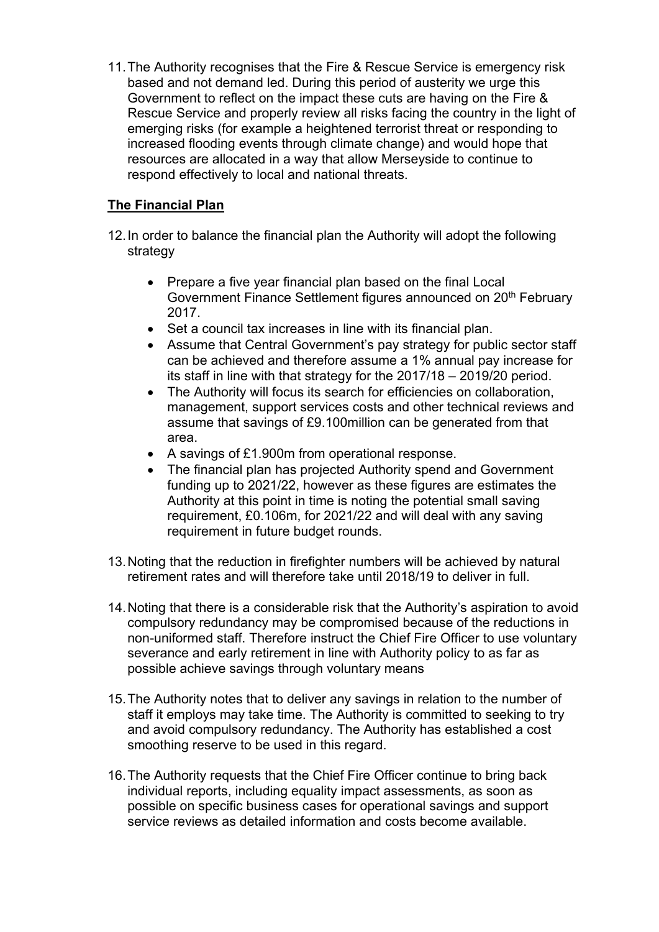11.The Authority recognises that the Fire & Rescue Service is emergency risk based and not demand led. During this period of austerity we urge this Government to reflect on the impact these cuts are having on the Fire & Rescue Service and properly review all risks facing the country in the light of emerging risks (for example a heightened terrorist threat or responding to increased flooding events through climate change) and would hope that resources are allocated in a way that allow Merseyside to continue to respond effectively to local and national threats.

# **The Financial Plan**

- 12.In order to balance the financial plan the Authority will adopt the following strategy
	- Prepare a five year financial plan based on the final Local Government Finance Settlement figures announced on 20<sup>th</sup> February 2017.
	- Set a council tax increases in line with its financial plan.
	- Assume that Central Government's pay strategy for public sector staff can be achieved and therefore assume a 1% annual pay increase for its staff in line with that strategy for the 2017/18 – 2019/20 period.
	- The Authority will focus its search for efficiencies on collaboration, management, support services costs and other technical reviews and assume that savings of £9.100million can be generated from that area.
	- A savings of £1.900m from operational response.
	- The financial plan has projected Authority spend and Government funding up to 2021/22, however as these figures are estimates the Authority at this point in time is noting the potential small saving requirement, £0.106m, for 2021/22 and will deal with any saving requirement in future budget rounds.
- 13.Noting that the reduction in firefighter numbers will be achieved by natural retirement rates and will therefore take until 2018/19 to deliver in full.
- 14.Noting that there is a considerable risk that the Authority's aspiration to avoid compulsory redundancy may be compromised because of the reductions in non-uniformed staff. Therefore instruct the Chief Fire Officer to use voluntary severance and early retirement in line with Authority policy to as far as possible achieve savings through voluntary means
- 15.The Authority notes that to deliver any savings in relation to the number of staff it employs may take time. The Authority is committed to seeking to try and avoid compulsory redundancy. The Authority has established a cost smoothing reserve to be used in this regard.
- 16.The Authority requests that the Chief Fire Officer continue to bring back individual reports, including equality impact assessments, as soon as possible on specific business cases for operational savings and support service reviews as detailed information and costs become available.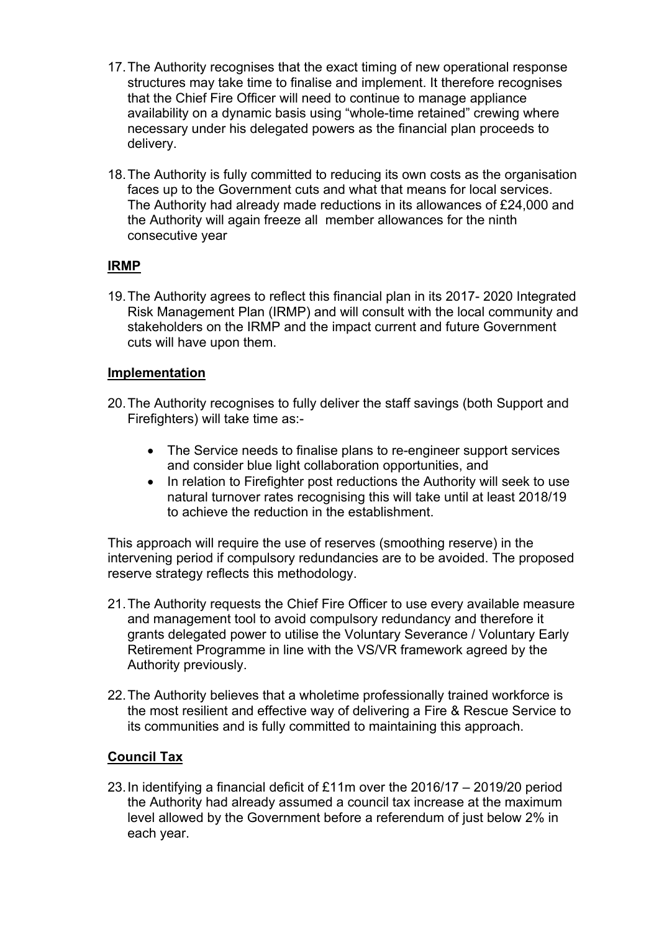- 17.The Authority recognises that the exact timing of new operational response structures may take time to finalise and implement. It therefore recognises that the Chief Fire Officer will need to continue to manage appliance availability on a dynamic basis using "whole-time retained" crewing where necessary under his delegated powers as the financial plan proceeds to delivery.
- 18.The Authority is fully committed to reducing its own costs as the organisation faces up to the Government cuts and what that means for local services. The Authority had already made reductions in its allowances of £24,000 and the Authority will again freeze all member allowances for the ninth consecutive year

## **IRMP**

19.The Authority agrees to reflect this financial plan in its 2017- 2020 Integrated Risk Management Plan (IRMP) and will consult with the local community and stakeholders on the IRMP and the impact current and future Government cuts will have upon them.

#### **Implementation**

- 20.The Authority recognises to fully deliver the staff savings (both Support and Firefighters) will take time as:-
	- The Service needs to finalise plans to re-engineer support services and consider blue light collaboration opportunities, and
	- In relation to Firefighter post reductions the Authority will seek to use natural turnover rates recognising this will take until at least 2018/19 to achieve the reduction in the establishment.

This approach will require the use of reserves (smoothing reserve) in the intervening period if compulsory redundancies are to be avoided. The proposed reserve strategy reflects this methodology.

- 21.The Authority requests the Chief Fire Officer to use every available measure and management tool to avoid compulsory redundancy and therefore it grants delegated power to utilise the Voluntary Severance / Voluntary Early Retirement Programme in line with the VS/VR framework agreed by the Authority previously.
- 22.The Authority believes that a wholetime professionally trained workforce is the most resilient and effective way of delivering a Fire & Rescue Service to its communities and is fully committed to maintaining this approach.

#### **Council Tax**

23.In identifying a financial deficit of £11m over the 2016/17 – 2019/20 period the Authority had already assumed a council tax increase at the maximum level allowed by the Government before a referendum of just below 2% in each year.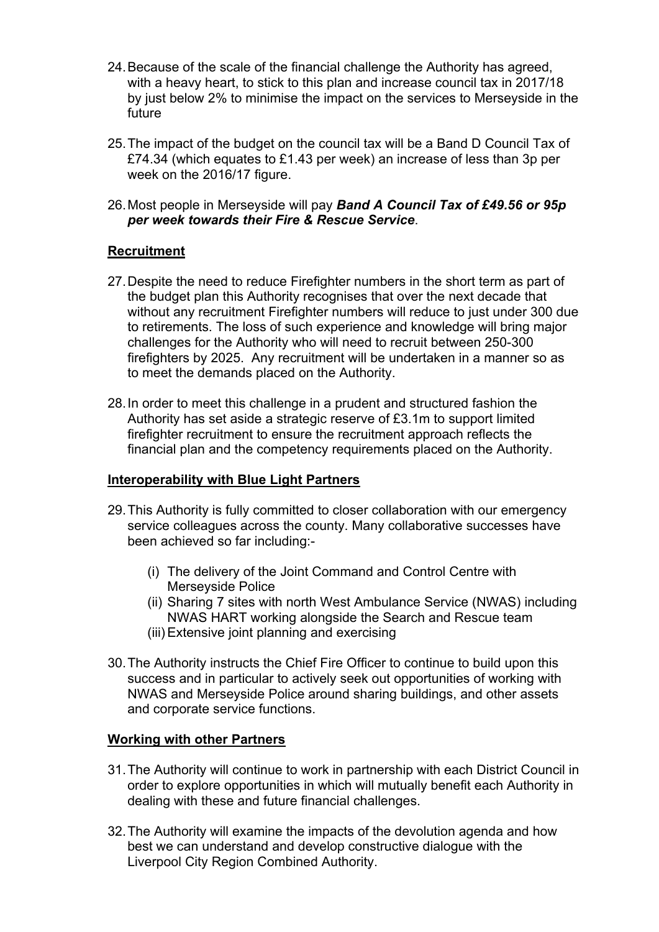- 24.Because of the scale of the financial challenge the Authority has agreed, with a heavy heart, to stick to this plan and increase council tax in 2017/18 by just below 2% to minimise the impact on the services to Merseyside in the future
- 25.The impact of the budget on the council tax will be a Band D Council Tax of £74.34 (which equates to £1.43 per week) an increase of less than 3p per week on the 2016/17 figure.
- 26.Most people in Merseyside will pay *Band A Council Tax of £49.56 or 95p per week towards their Fire & Rescue Service*.

## **Recruitment**

- 27.Despite the need to reduce Firefighter numbers in the short term as part of the budget plan this Authority recognises that over the next decade that without any recruitment Firefighter numbers will reduce to just under 300 due to retirements. The loss of such experience and knowledge will bring major challenges for the Authority who will need to recruit between 250-300 firefighters by 2025. Any recruitment will be undertaken in a manner so as to meet the demands placed on the Authority.
- 28.In order to meet this challenge in a prudent and structured fashion the Authority has set aside a strategic reserve of £3.1m to support limited firefighter recruitment to ensure the recruitment approach reflects the financial plan and the competency requirements placed on the Authority.

#### **Interoperability with Blue Light Partners**

- 29.This Authority is fully committed to closer collaboration with our emergency service colleagues across the county. Many collaborative successes have been achieved so far including:-
	- (i) The delivery of the Joint Command and Control Centre with Merseyside Police
	- (ii) Sharing 7 sites with north West Ambulance Service (NWAS) including NWAS HART working alongside the Search and Rescue team
	- (iii) Extensive joint planning and exercising
- 30.The Authority instructs the Chief Fire Officer to continue to build upon this success and in particular to actively seek out opportunities of working with NWAS and Merseyside Police around sharing buildings, and other assets and corporate service functions.

#### **Working with other Partners**

- 31.The Authority will continue to work in partnership with each District Council in order to explore opportunities in which will mutually benefit each Authority in dealing with these and future financial challenges.
- 32.The Authority will examine the impacts of the devolution agenda and how best we can understand and develop constructive dialogue with the Liverpool City Region Combined Authority.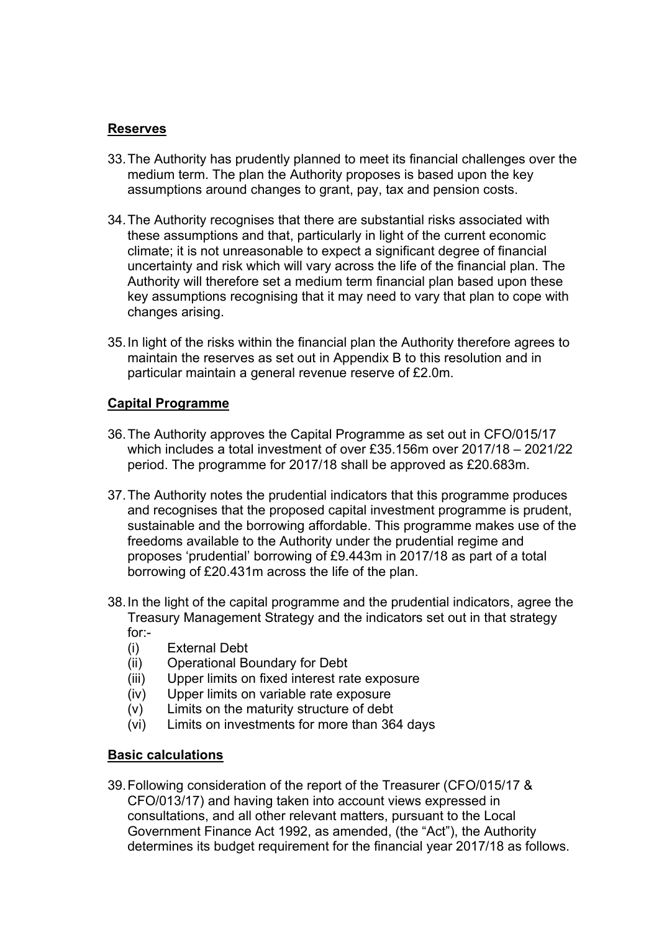#### **Reserves**

- 33.The Authority has prudently planned to meet its financial challenges over the medium term. The plan the Authority proposes is based upon the key assumptions around changes to grant, pay, tax and pension costs.
- 34.The Authority recognises that there are substantial risks associated with these assumptions and that, particularly in light of the current economic climate; it is not unreasonable to expect a significant degree of financial uncertainty and risk which will vary across the life of the financial plan. The Authority will therefore set a medium term financial plan based upon these key assumptions recognising that it may need to vary that plan to cope with changes arising.
- 35.In light of the risks within the financial plan the Authority therefore agrees to maintain the reserves as set out in Appendix B to this resolution and in particular maintain a general revenue reserve of £2.0m.

## **Capital Programme**

- 36.The Authority approves the Capital Programme as set out in CFO/015/17 which includes a total investment of over £35.156m over 2017/18 – 2021/22 period. The programme for 2017/18 shall be approved as £20.683m.
- 37.The Authority notes the prudential indicators that this programme produces and recognises that the proposed capital investment programme is prudent, sustainable and the borrowing affordable. This programme makes use of the freedoms available to the Authority under the prudential regime and proposes 'prudential' borrowing of £9.443m in 2017/18 as part of a total borrowing of £20.431m across the life of the plan.
- 38.In the light of the capital programme and the prudential indicators, agree the Treasury Management Strategy and the indicators set out in that strategy for:-
	- (i) External Debt
	- (ii) Operational Boundary for Debt
	- (iii) Upper limits on fixed interest rate exposure
	- (iv) Upper limits on variable rate exposure
	- (v) Limits on the maturity structure of debt
	- (vi) Limits on investments for more than 364 days

# **Basic calculations**

39.Following consideration of the report of the Treasurer (CFO/015/17 & CFO/013/17) and having taken into account views expressed in consultations, and all other relevant matters, pursuant to the Local Government Finance Act 1992, as amended, (the "Act"), the Authority determines its budget requirement for the financial year 2017/18 as follows.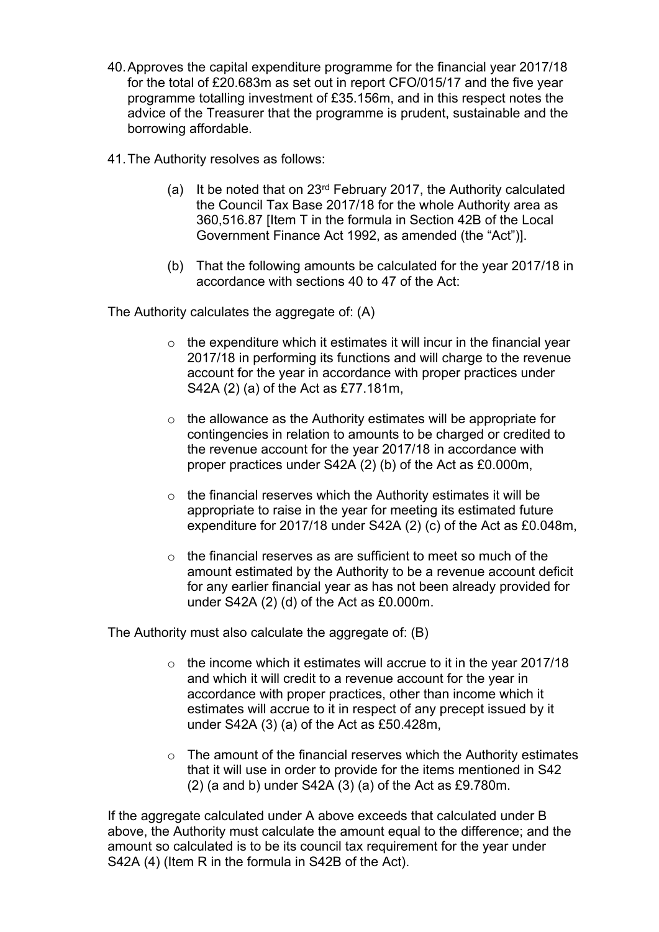- 40.Approves the capital expenditure programme for the financial year 2017/18 for the total of £20.683m as set out in report CFO/015/17 and the five year programme totalling investment of £35.156m, and in this respect notes the advice of the Treasurer that the programme is prudent, sustainable and the borrowing affordable.
- 41.The Authority resolves as follows:
	- (a) It be noted that on 23rd February 2017, the Authority calculated the Council Tax Base 2017/18 for the whole Authority area as 360,516.87 [Item T in the formula in Section 42B of the Local Government Finance Act 1992, as amended (the "Act")].
	- (b) That the following amounts be calculated for the year 2017/18 in accordance with sections 40 to 47 of the Act:

The Authority calculates the aggregate of: (A)

- $\circ$  the expenditure which it estimates it will incur in the financial year 2017/18 in performing its functions and will charge to the revenue account for the year in accordance with proper practices under S42A (2) (a) of the Act as £77.181m,
- o the allowance as the Authority estimates will be appropriate for contingencies in relation to amounts to be charged or credited to the revenue account for the year 2017/18 in accordance with proper practices under S42A (2) (b) of the Act as £0.000m,
- $\circ$  the financial reserves which the Authority estimates it will be appropriate to raise in the year for meeting its estimated future expenditure for 2017/18 under S42A (2) (c) of the Act as £0.048m,
- $\circ$  the financial reserves as are sufficient to meet so much of the amount estimated by the Authority to be a revenue account deficit for any earlier financial year as has not been already provided for under S42A (2) (d) of the Act as £0.000m.

The Authority must also calculate the aggregate of: (B)

- $\circ$  the income which it estimates will accrue to it in the year 2017/18 and which it will credit to a revenue account for the year in accordance with proper practices, other than income which it estimates will accrue to it in respect of any precept issued by it under S42A (3) (a) of the Act as £50.428m,
- o The amount of the financial reserves which the Authority estimates that it will use in order to provide for the items mentioned in S42 (2) (a and b) under S42A (3) (a) of the Act as £9.780m.

If the aggregate calculated under A above exceeds that calculated under B above, the Authority must calculate the amount equal to the difference; and the amount so calculated is to be its council tax requirement for the year under S42A (4) (Item R in the formula in S42B of the Act).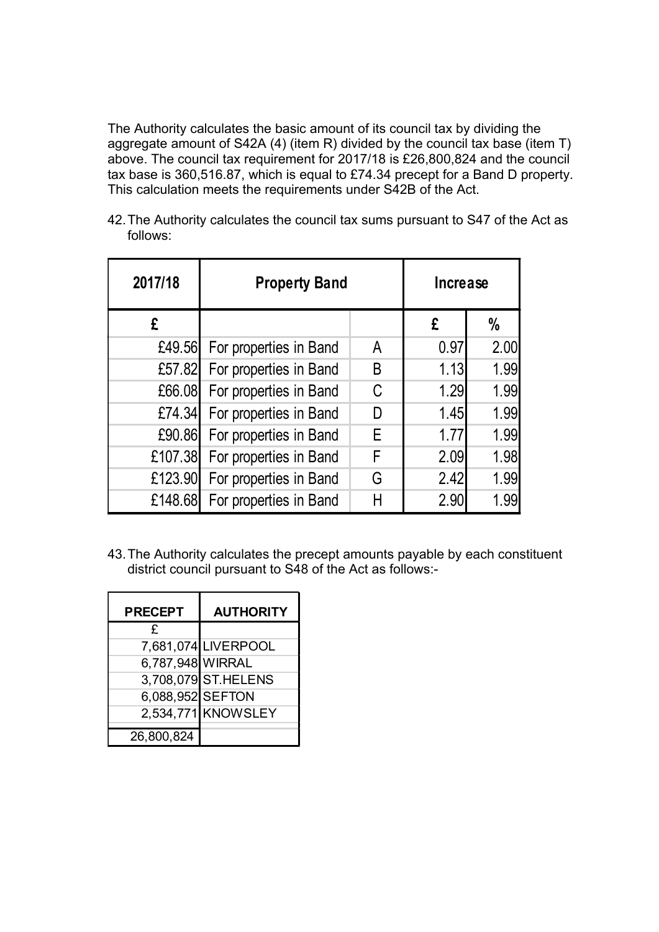The Authority calculates the basic amount of its council tax by dividing the aggregate amount of S42A (4) (item R) divided by the council tax base (item T) above. The council tax requirement for 2017/18 is £26,800,824 and the council tax base is 360,516.87, which is equal to £74.34 precept for a Band D property. This calculation meets the requirements under S42B of the Act.

42.The Authority calculates the council tax sums pursuant to S47 of the Act as follows:

| 2017/18 | <b>Property Band</b>   |   | <b>Increase</b> |      |  |
|---------|------------------------|---|-----------------|------|--|
| £       |                        |   | £               | %    |  |
| £49.56  | For properties in Band | A | 0.97            | 2.00 |  |
| £57.82  | For properties in Band | B | 1.13            | 1.99 |  |
| £66.08  | For properties in Band | C | 1.29            | 1.99 |  |
| £74.34  | For properties in Band | D | 1.45            | 1.99 |  |
| £90.86  | For properties in Band | E | 1.77            | 1.99 |  |
| £107.38 | For properties in Band | F | 2.09            | 1.98 |  |
| £123.90 | For properties in Band | G | 2.42            | 1.99 |  |
| £148.68 | For properties in Band | Н | 2.90            | 1.99 |  |

43.The Authority calculates the precept amounts payable by each constituent district council pursuant to S48 of the Act as follows:-

| <b>PRECEPT</b>   | <b>AUTHORITY</b>    |  |  |  |
|------------------|---------------------|--|--|--|
| £                |                     |  |  |  |
|                  | 7,681,074 LIVERPOOL |  |  |  |
| 6,787,948 WIRRAL |                     |  |  |  |
|                  | 3,708,079 ST.HELENS |  |  |  |
| 6,088,952 SEFTON |                     |  |  |  |
|                  | 2,534,771 KNOWSLEY  |  |  |  |
| 26,800,824       |                     |  |  |  |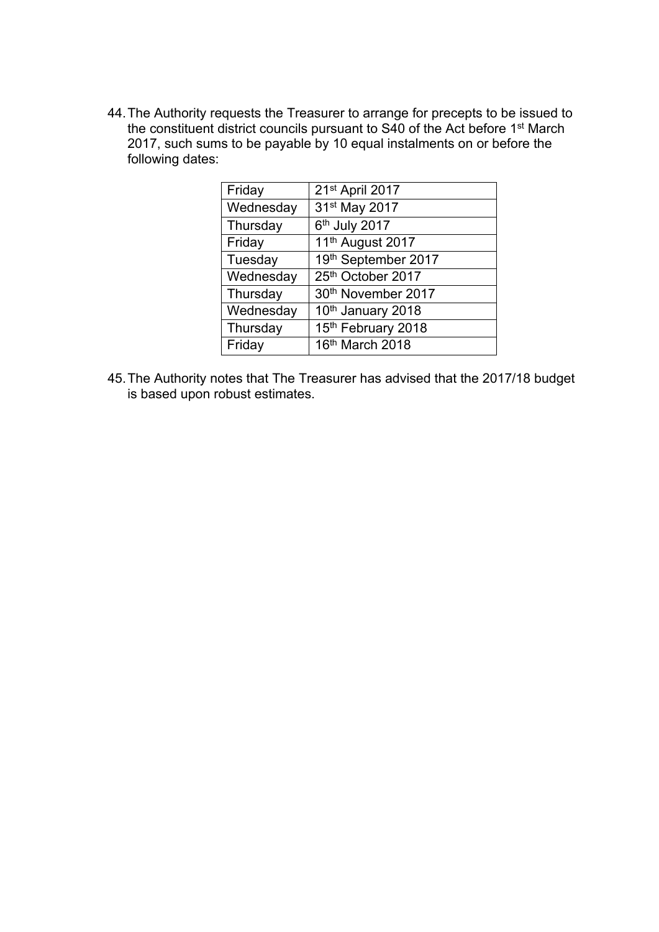44.The Authority requests the Treasurer to arrange for precepts to be issued to the constituent district councils pursuant to S40 of the Act before 1<sup>st</sup> March 2017, such sums to be payable by 10 equal instalments on or before the following dates:

| Friday    | 21st April 2017              |
|-----------|------------------------------|
| Wednesday | 31 <sup>st</sup> May 2017    |
| Thursday  | 6th July 2017                |
| Friday    | 11 <sup>th</sup> August 2017 |
| Tuesday   | 19th September 2017          |
| Wednesday | 25th October 2017            |
| Thursday  | 30th November 2017           |
| Wednesday | 10th January 2018            |
| Thursday  | 15th February 2018           |
| Friday    | 16th March 2018              |
|           |                              |

45.The Authority notes that The Treasurer has advised that the 2017/18 budget is based upon robust estimates.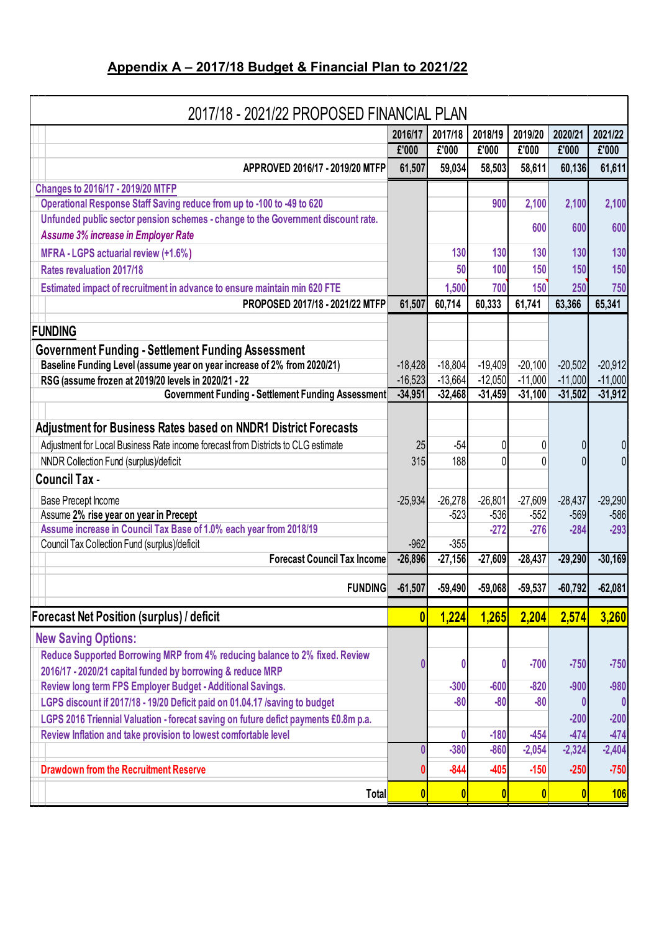# **Appendix A – 2017/18 Budget & Financial Plan to 2021/22**

| 2017/18 - 2021/22 PROPOSED FINANCIAL PLAN                                                                                             |                         |             |                  |                    |                    |                    |  |
|---------------------------------------------------------------------------------------------------------------------------------------|-------------------------|-------------|------------------|--------------------|--------------------|--------------------|--|
|                                                                                                                                       | 2016/17                 | 2017/18     | 2018/19          | 2019/20            | 2020/21            | 2021/22            |  |
|                                                                                                                                       | £'000                   | £'000       | £'000            | £'000              | £'000              | £'000              |  |
| APPROVED 2016/17 - 2019/20 MTFP                                                                                                       | 61,507                  | 59,034      | 58,503           | 58,611             | 60,136             | 61,611             |  |
| Changes to 2016/17 - 2019/20 MTFP                                                                                                     |                         |             |                  |                    |                    |                    |  |
| Operational Response Staff Saving reduce from up to -100 to -49 to 620                                                                |                         |             | 900              | 2,100              | 2,100              | 2,100              |  |
| Unfunded public sector pension schemes - change to the Government discount rate.<br><b>Assume 3% increase in Employer Rate</b>        |                         |             |                  | 600                | 600                | 600                |  |
| MFRA - LGPS actuarial review (+1.6%)                                                                                                  |                         | 130         | 130              | 130                | 130                | 130                |  |
| <b>Rates revaluation 2017/18</b>                                                                                                      |                         | 50          | 100              | 150                | 150                | 150                |  |
| Estimated impact of recruitment in advance to ensure maintain min 620 FTE                                                             |                         | 1,500       | 700              | 150                | 250                | 750                |  |
| PROPOSED 2017/18 - 2021/22 MTFP                                                                                                       | 61,507                  | 60,714      | 60,333           | 61,741             | 63,366             | 65,341             |  |
| <b>FUNDING</b>                                                                                                                        |                         |             |                  |                    |                    |                    |  |
|                                                                                                                                       |                         |             |                  |                    |                    |                    |  |
| <b>Government Funding - Settlement Funding Assessment</b><br>Baseline Funding Level (assume year on year increase of 2% from 2020/21) | $-18,428$               | $-18,804$   | $-19,409$        | $-20,100$          | $-20,502$          | $-20,912$          |  |
| RSG (assume frozen at 2019/20 levels in 2020/21 - 22                                                                                  | $-16,523$               | $-13,664$   | $-12,050$        | $-11,000$          | $-11,000$          | $-11,000$          |  |
| Government Funding - Settlement Funding Assessment                                                                                    | $-34,951$               | $-32,468$   | $-31,459$        | $-31,100$          | $-31,502$          | $-31,912$          |  |
|                                                                                                                                       |                         |             |                  |                    |                    |                    |  |
| Adjustment for Business Rates based on NNDR1 District Forecasts                                                                       |                         |             |                  |                    |                    |                    |  |
| Adjustment for Local Business Rate income forecast from Districts to CLG estimate                                                     | 25                      | $-54$       | 0                |                    |                    | 0                  |  |
| NNDR Collection Fund (surplus)/deficit                                                                                                | 315                     | 188         | 0                |                    |                    | $\Omega$           |  |
| <b>Council Tax -</b>                                                                                                                  |                         |             |                  |                    |                    |                    |  |
| Base Precept Income                                                                                                                   | $-25,934$               | $-26,278$   | $-26,801$        | $-27,609$          | $-28,437$          | $-29,290$          |  |
| Assume 2% rise year on year in Precept                                                                                                |                         | $-523$      | $-536$           | $-552$             | $-569$             | $-586$             |  |
| Assume increase in Council Tax Base of 1.0% each year from 2018/19                                                                    |                         |             | $-272$           | $-276$             | $-284$             | $-293$             |  |
| Council Tax Collection Fund (surplus)/deficit<br><b>Forecast Council Tax Income</b>                                                   | $-962$<br>$-26,896$     | $-355$      | $-27,609$        | $-28,437$          |                    | $-30,169$          |  |
|                                                                                                                                       |                         | $-27,156$   |                  |                    | $-29,290$          |                    |  |
| <b>FUNDING</b>                                                                                                                        | $-61,507$               | $-59,490$   | $-59,068$        | $-59,537$          | $-60,792$          | $-62,081$          |  |
| Forecast Net Position (surplus) / deficit                                                                                             | $\overline{\mathbf{0}}$ | 1,224       | 1,265            | 2,204              | 2,574              | 3,260              |  |
| <b>New Saving Options:</b>                                                                                                            |                         |             |                  |                    |                    |                    |  |
| Reduce Supported Borrowing MRP from 4% reducing balance to 2% fixed. Review                                                           |                         | 0           | 0                | $-700$             | $-750$             | $-750$             |  |
| 2016/17 - 2020/21 capital funded by borrowing & reduce MRP                                                                            |                         |             |                  |                    |                    |                    |  |
| Review long term FPS Employer Budget - Additional Savings.                                                                            |                         | $-300$      | $-600$           | $-820$             | $-900$             | $-980$             |  |
| LGPS discount if 2017/18 - 19/20 Deficit paid on 01.04.17 /saving to budget                                                           |                         | $-80$       | $-80$            | $-80$              |                    |                    |  |
| LGPS 2016 Triennial Valuation - forecat saving on future defict payments £0.8m p.a.                                                   |                         |             |                  |                    | $-200$             | $-200$             |  |
| Review Inflation and take provision to lowest comfortable level                                                                       |                         | 0<br>$-380$ | $-180$<br>$-860$ | $-454$<br>$-2,054$ | $-474$<br>$-2,324$ | $-474$<br>$-2,404$ |  |
|                                                                                                                                       |                         |             |                  |                    |                    |                    |  |
| <b>Drawdown from the Recruitment Reserve</b>                                                                                          |                         | $-844$      | -405             | $-150$             | $-250$             | $-750$             |  |
| Total                                                                                                                                 |                         | 0           |                  |                    |                    | <b>106</b>         |  |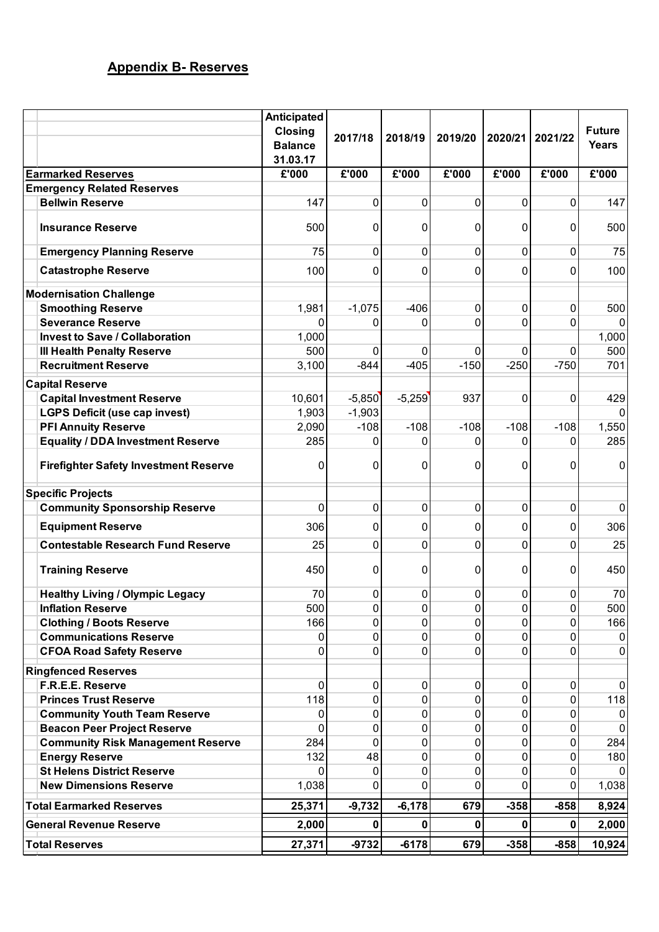# **Appendix B- Reserves**

|                            |                                              | Anticipated                      |          |                |         |              |                |                               |
|----------------------------|----------------------------------------------|----------------------------------|----------|----------------|---------|--------------|----------------|-------------------------------|
|                            |                                              | <b>Closing</b><br><b>Balance</b> | 2017/18  | 2018/19        | 2019/20 | 2020/21      | 2021/22        | <b>Future</b><br><b>Years</b> |
|                            |                                              | 31.03.17                         |          |                |         |              |                |                               |
|                            | <b>Earmarked Reserves</b>                    | £'000                            | £'000    | £'000          | £'000   | £'000        | £'000          | £'000                         |
|                            | <b>Emergency Related Reserves</b>            |                                  |          |                |         |              |                |                               |
|                            | <b>Bellwin Reserve</b>                       | 147                              | 0        | 0              | 0       | 0            | 0              | 147                           |
|                            | <b>Insurance Reserve</b>                     | 500                              | 0        | 0              | 0       | 0            | 0              | 500                           |
|                            | <b>Emergency Planning Reserve</b>            | 75                               | 0        | 0              | 0       | $\mathbf 0$  | 0              | 75                            |
|                            | <b>Catastrophe Reserve</b>                   | 100                              | 0        | 0              | 0       | 0            | 0              | 100                           |
|                            | <b>Modernisation Challenge</b>               |                                  |          |                |         |              |                |                               |
|                            | <b>Smoothing Reserve</b>                     | 1,981                            | $-1,075$ | $-406$         | 0       | $\mathbf 0$  | 0              | 500                           |
|                            | <b>Severance Reserve</b>                     | 0                                | 0        | 0              | 0       | 0            | 0              | 0                             |
|                            | <b>Invest to Save / Collaboration</b>        | 1,000                            |          |                |         |              |                | 1,000                         |
|                            | <b>III Health Penalty Reserve</b>            | 500                              | 0        | 0              | 0       | $\Omega$     | 0              | 500                           |
|                            | <b>Recruitment Reserve</b>                   | 3,100                            | $-844$   | $-405$         | $-150$  | $-250$       | $-750$         | 701                           |
|                            | <b>Capital Reserve</b>                       |                                  |          |                |         |              |                |                               |
|                            | <b>Capital Investment Reserve</b>            | 10,601                           | $-5,850$ | $-5,259$       | 937     | $\mathbf 0$  | 0              | 429                           |
|                            | <b>LGPS Deficit (use cap invest)</b>         | 1,903                            | $-1,903$ |                |         |              |                | $\mathbf{0}$                  |
|                            | <b>PFI Annuity Reserve</b>                   | 2,090                            | $-108$   | $-108$         | $-108$  | $-108$       | $-108$         | 1,550                         |
|                            | <b>Equality / DDA Investment Reserve</b>     | 285                              | 0        | 0              | 0       | 0            | 0              | 285                           |
|                            | <b>Firefighter Safety Investment Reserve</b> | 0                                | 0        | 0              | 0       | 0            | 0              | $\overline{0}$                |
|                            | <b>Specific Projects</b>                     |                                  |          |                |         |              |                |                               |
|                            | <b>Community Sponsorship Reserve</b>         | 0                                | 0        | 0              | 0       | $\mathbf 0$  | 0              | $\overline{0}$                |
|                            | <b>Equipment Reserve</b>                     | 306                              | 0        | 0              | 0       | 0            | $\overline{0}$ | 306                           |
|                            | <b>Contestable Research Fund Reserve</b>     | 25                               | 0        | 0              | 0       | 0            | 0              | 25                            |
|                            | <b>Training Reserve</b>                      | 450                              | 0        | 0              | 0       | 0            | 0              | 450                           |
|                            | <b>Healthy Living / Olympic Legacy</b>       | 70                               | 0        | 0              | 0       | 0            | 0              | 70                            |
|                            | <b>Inflation Reserve</b>                     | 500                              | 0        | 0              | 0       | 0            | 0              | 500                           |
|                            | <b>Clothing / Boots Reserve</b>              | 166                              | 0        | 0              | 0       | $\mathbf 0$  | 0              | 166                           |
|                            | <b>Communications Reserve</b>                | 0                                | 0        | 0              | 0       | 0            | 0              | 0                             |
|                            | <b>CFOA Road Safety Reserve</b>              | 0                                | 0        | $\overline{0}$ | 0       | 0            | 0              | 0                             |
| <b>Ringfenced Reserves</b> |                                              |                                  |          |                |         |              |                |                               |
|                            | F.R.E.E. Reserve                             | 0                                | 0        | $\overline{0}$ | 0       | 0            | 0              | $\overline{0}$                |
|                            | <b>Princes Trust Reserve</b>                 | 118                              | 0        | 0              | 0       | 0            | 0              | 118                           |
|                            | <b>Community Youth Team Reserve</b>          | 0                                | 0        | 0              | 0       | 0            | 0              | $\mathbf 0$                   |
|                            | <b>Beacon Peer Project Reserve</b>           | 0                                | 0        | 0              | 0       | 0            | 0              | 0                             |
|                            | <b>Community Risk Management Reserve</b>     | 284                              | 0        | 0              | 0       | $\mathbf{0}$ | 0              | 284                           |
|                            | <b>Energy Reserve</b>                        | 132                              | 48       | 0              | 0       | 0            | 0              | 180                           |
|                            | <b>St Helens District Reserve</b>            | 0                                | 0        | 0              | 0       | 0            | 0              | $\Omega$                      |
|                            | <b>New Dimensions Reserve</b>                | 1,038                            | 0        | 0              | 0       | 0            | 0              | 1,038                         |
|                            | <b>Total Earmarked Reserves</b>              | 25,371                           | $-9,732$ | $-6,178$       | 679     | $-358$       | $-858$         | 8,924                         |
|                            | <b>General Revenue Reserve</b>               | 2,000                            | 0        | 0              | O       | 0            | 0              | 2,000                         |
|                            | <b>Total Reserves</b>                        | 27,371                           | $-9732$  | $-6178$        | 679     | $-358$       | $-858$         | 10,924                        |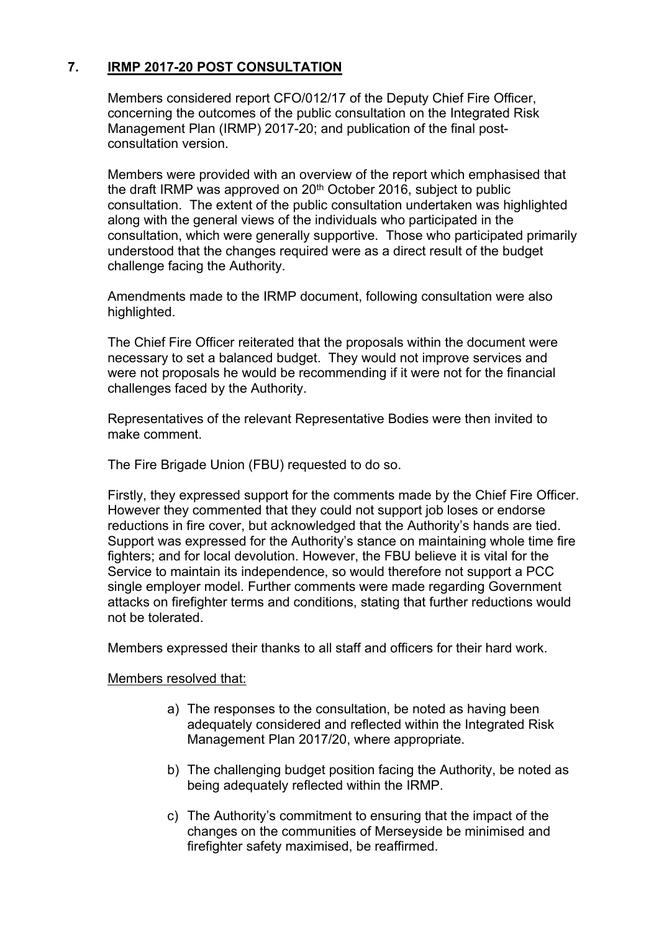# **7. IRMP 2017-20 POST CONSULTATION**

Members considered report CFO/012/17 of the Deputy Chief Fire Officer, concerning the outcomes of the public consultation on the Integrated Risk Management Plan (IRMP) 2017-20; and publication of the final postconsultation version.

Members were provided with an overview of the report which emphasised that the draft IRMP was approved on 20<sup>th</sup> October 2016, subject to public consultation. The extent of the public consultation undertaken was highlighted along with the general views of the individuals who participated in the consultation, which were generally supportive. Those who participated primarily understood that the changes required were as a direct result of the budget challenge facing the Authority.

Amendments made to the IRMP document, following consultation were also highlighted.

The Chief Fire Officer reiterated that the proposals within the document were necessary to set a balanced budget. They would not improve services and were not proposals he would be recommending if it were not for the financial challenges faced by the Authority.

Representatives of the relevant Representative Bodies were then invited to make comment.

The Fire Brigade Union (FBU) requested to do so.

Firstly, they expressed support for the comments made by the Chief Fire Officer. However they commented that they could not support job loses or endorse reductions in fire cover, but acknowledged that the Authority's hands are tied. Support was expressed for the Authority's stance on maintaining whole time fire fighters; and for local devolution. However, the FBU believe it is vital for the Service to maintain its independence, so would therefore not support a PCC single employer model. Further comments were made regarding Government attacks on firefighter terms and conditions, stating that further reductions would not be tolerated.

Members expressed their thanks to all staff and officers for their hard work.

Members resolved that:

- a) The responses to the consultation, be noted as having been adequately considered and reflected within the Integrated Risk Management Plan 2017/20, where appropriate.
- b) The challenging budget position facing the Authority, be noted as being adequately reflected within the IRMP.
- c) The Authority's commitment to ensuring that the impact of the changes on the communities of Merseyside be minimised and firefighter safety maximised, be reaffirmed.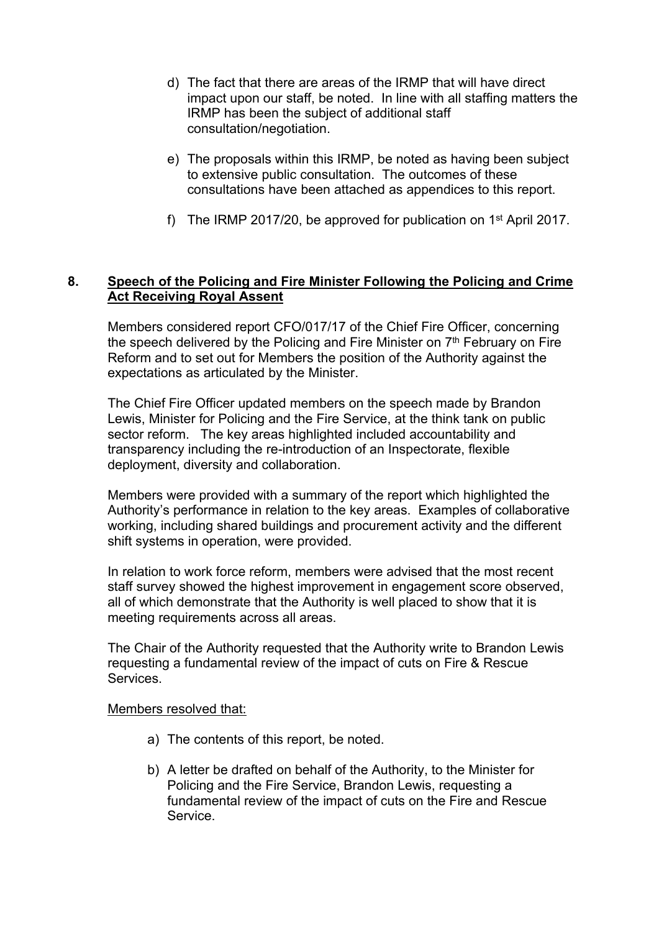- d) The fact that there are areas of the IRMP that will have direct impact upon our staff, be noted. In line with all staffing matters the IRMP has been the subject of additional staff consultation/negotiation.
- e) The proposals within this IRMP, be noted as having been subject to extensive public consultation. The outcomes of these consultations have been attached as appendices to this report.
- f) The IRMP 2017/20, be approved for publication on  $1<sup>st</sup>$  April 2017.

### **8. Speech of the Policing and Fire Minister Following the Policing and Crime Act Receiving Royal Assent**

Members considered report CFO/017/17 of the Chief Fire Officer, concerning the speech delivered by the Policing and Fire Minister on 7<sup>th</sup> February on Fire Reform and to set out for Members the position of the Authority against the expectations as articulated by the Minister.

The Chief Fire Officer updated members on the speech made by Brandon Lewis, Minister for Policing and the Fire Service, at the think tank on public sector reform. The key areas highlighted included accountability and transparency including the re-introduction of an Inspectorate, flexible deployment, diversity and collaboration.

Members were provided with a summary of the report which highlighted the Authority's performance in relation to the key areas. Examples of collaborative working, including shared buildings and procurement activity and the different shift systems in operation, were provided.

In relation to work force reform, members were advised that the most recent staff survey showed the highest improvement in engagement score observed, all of which demonstrate that the Authority is well placed to show that it is meeting requirements across all areas.

The Chair of the Authority requested that the Authority write to Brandon Lewis requesting a fundamental review of the impact of cuts on Fire & Rescue Services.

Members resolved that:

- a) The contents of this report, be noted.
- b) A letter be drafted on behalf of the Authority, to the Minister for Policing and the Fire Service, Brandon Lewis, requesting a fundamental review of the impact of cuts on the Fire and Rescue Service.